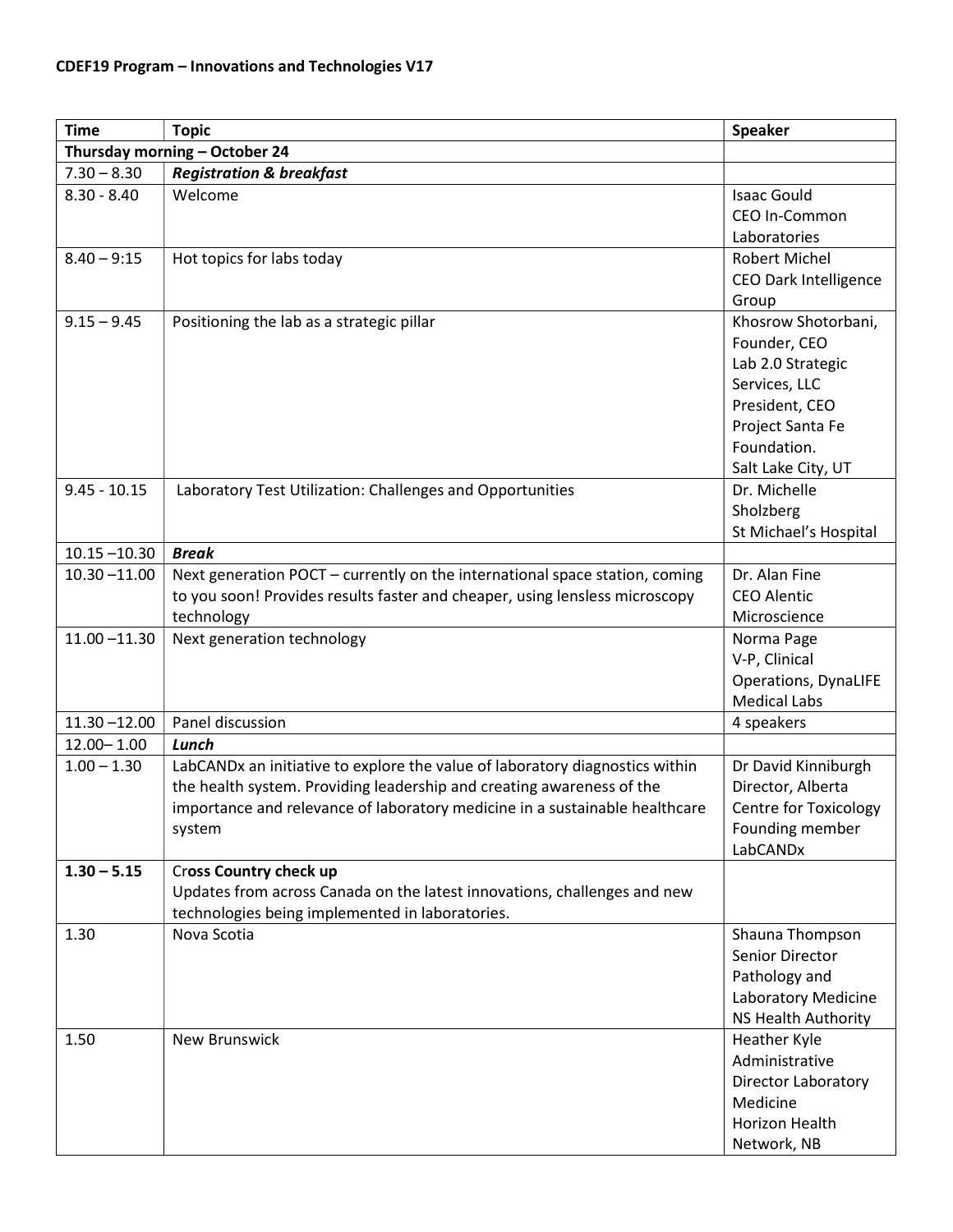| <b>Time</b>                   | <b>Topic</b>                                                                 | <b>Speaker</b>               |  |  |
|-------------------------------|------------------------------------------------------------------------------|------------------------------|--|--|
| Thursday morning - October 24 |                                                                              |                              |  |  |
| $7.30 - 8.30$                 | <b>Registration &amp; breakfast</b>                                          |                              |  |  |
| $8.30 - 8.40$                 | Welcome                                                                      | <b>Isaac Gould</b>           |  |  |
|                               |                                                                              | CEO In-Common                |  |  |
|                               |                                                                              | Laboratories                 |  |  |
| $8.40 - 9:15$                 | Hot topics for labs today                                                    | Robert Michel                |  |  |
|                               |                                                                              | <b>CEO Dark Intelligence</b> |  |  |
|                               |                                                                              | Group                        |  |  |
| $9.15 - 9.45$                 | Positioning the lab as a strategic pillar                                    | Khosrow Shotorbani,          |  |  |
|                               |                                                                              | Founder, CEO                 |  |  |
|                               |                                                                              | Lab 2.0 Strategic            |  |  |
|                               |                                                                              | Services, LLC                |  |  |
|                               |                                                                              | President, CEO               |  |  |
|                               |                                                                              | Project Santa Fe             |  |  |
|                               |                                                                              | Foundation.                  |  |  |
|                               |                                                                              | Salt Lake City, UT           |  |  |
| $9.45 - 10.15$                | Laboratory Test Utilization: Challenges and Opportunities                    | Dr. Michelle                 |  |  |
|                               |                                                                              | Sholzberg                    |  |  |
|                               |                                                                              | St Michael's Hospital        |  |  |
| $10.15 - 10.30$               | <b>Break</b>                                                                 |                              |  |  |
| $10.30 - 11.00$               | Next generation POCT - currently on the international space station, coming  | Dr. Alan Fine                |  |  |
|                               | to you soon! Provides results faster and cheaper, using lensless microscopy  | <b>CEO Alentic</b>           |  |  |
|                               | technology                                                                   | Microscience                 |  |  |
| $11.00 - 11.30$               | Next generation technology                                                   | Norma Page                   |  |  |
|                               |                                                                              | V-P, Clinical                |  |  |
|                               |                                                                              | <b>Operations, DynaLIFE</b>  |  |  |
|                               |                                                                              | <b>Medical Labs</b>          |  |  |
| $11.30 - 12.00$               | Panel discussion                                                             | 4 speakers                   |  |  |
| $12.00 - 1.00$                | Lunch                                                                        |                              |  |  |
| $1.00 - 1.30$                 | LabCANDx an initiative to explore the value of laboratory diagnostics within | Dr David Kinniburgh          |  |  |
|                               | the health system. Providing leadership and creating awareness of the        | Director, Alberta            |  |  |
|                               | importance and relevance of laboratory medicine in a sustainable healthcare  | <b>Centre for Toxicology</b> |  |  |
|                               | system                                                                       | Founding member              |  |  |
|                               |                                                                              | LabCANDx                     |  |  |
| $1.30 - 5.15$                 | <b>Cross Country check up</b>                                                |                              |  |  |
|                               | Updates from across Canada on the latest innovations, challenges and new     |                              |  |  |
|                               | technologies being implemented in laboratories.                              |                              |  |  |
| 1.30                          | Nova Scotia                                                                  | Shauna Thompson              |  |  |
|                               |                                                                              | Senior Director              |  |  |
|                               |                                                                              | Pathology and                |  |  |
|                               |                                                                              | Laboratory Medicine          |  |  |
|                               |                                                                              | <b>NS Health Authority</b>   |  |  |
| 1.50                          | <b>New Brunswick</b>                                                         | Heather Kyle                 |  |  |
|                               |                                                                              | Administrative               |  |  |
|                               |                                                                              | <b>Director Laboratory</b>   |  |  |
|                               |                                                                              | Medicine                     |  |  |
|                               |                                                                              | Horizon Health               |  |  |
|                               |                                                                              | Network, NB                  |  |  |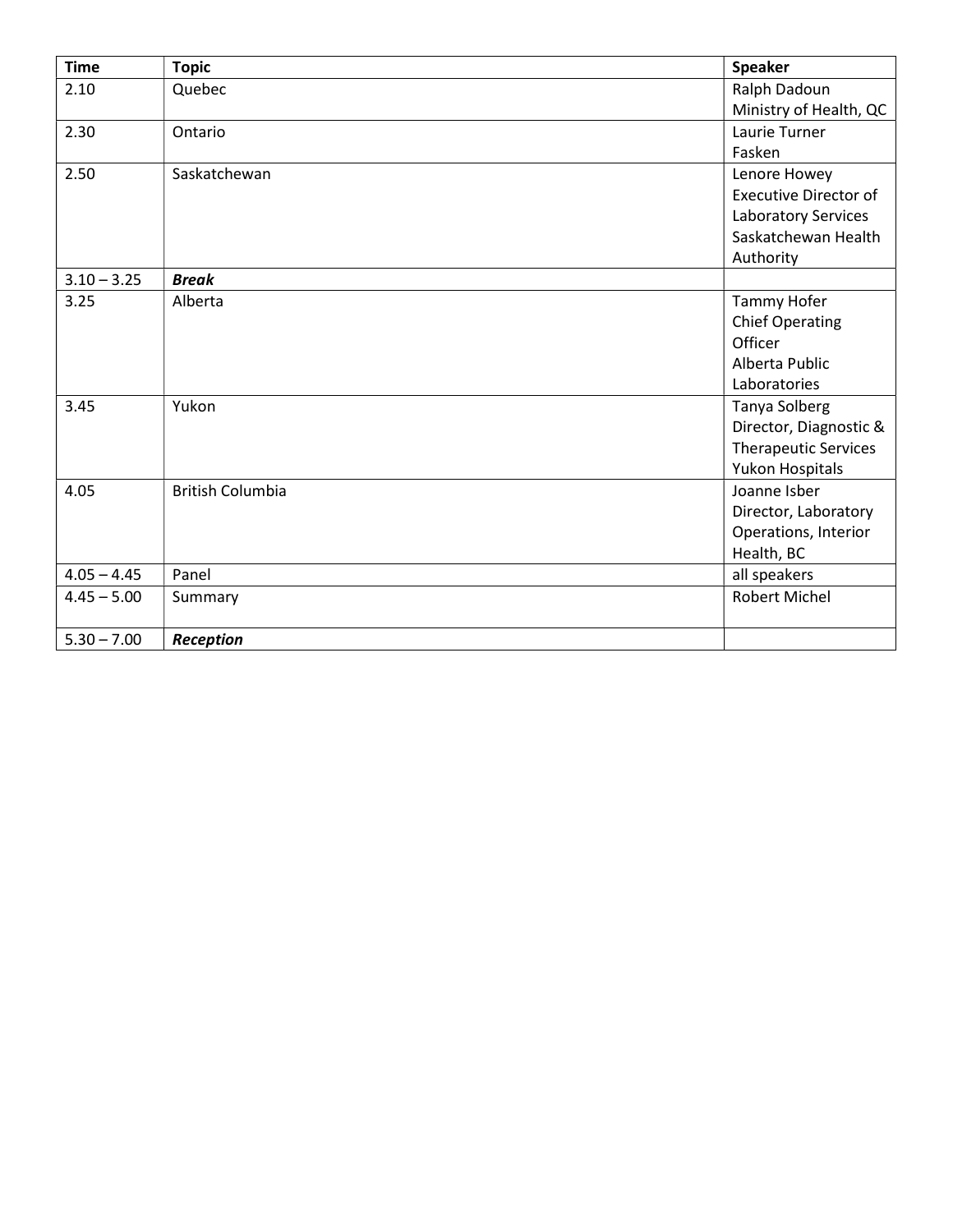| <b>Time</b>   | <b>Topic</b>            | <b>Speaker</b>               |
|---------------|-------------------------|------------------------------|
| 2.10          | Quebec                  | Ralph Dadoun                 |
|               |                         | Ministry of Health, QC       |
| 2.30          | Ontario                 | Laurie Turner                |
|               |                         | Fasken                       |
| 2.50          | Saskatchewan            | Lenore Howey                 |
|               |                         | <b>Executive Director of</b> |
|               |                         | Laboratory Services          |
|               |                         | Saskatchewan Health          |
|               |                         | Authority                    |
| $3.10 - 3.25$ | <b>Break</b>            |                              |
| 3.25          | Alberta                 | Tammy Hofer                  |
|               |                         | <b>Chief Operating</b>       |
|               |                         | Officer                      |
|               |                         | Alberta Public               |
|               |                         | Laboratories                 |
| 3.45          | Yukon                   | <b>Tanya Solberg</b>         |
|               |                         | Director, Diagnostic &       |
|               |                         | <b>Therapeutic Services</b>  |
|               |                         | Yukon Hospitals              |
| 4.05          | <b>British Columbia</b> | Joanne Isber                 |
|               |                         | Director, Laboratory         |
|               |                         | Operations, Interior         |
|               |                         | Health, BC                   |
| $4.05 - 4.45$ | Panel                   | all speakers                 |
| $4.45 - 5.00$ | Summary                 | Robert Michel                |
|               |                         |                              |
| $5.30 - 7.00$ | Reception               |                              |